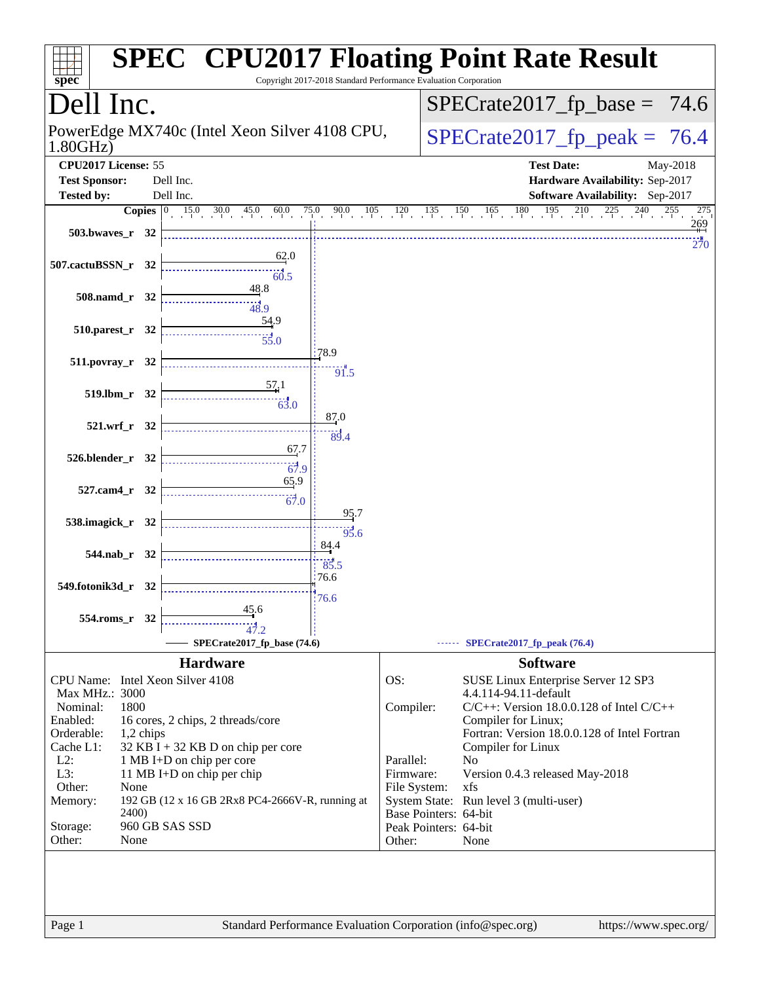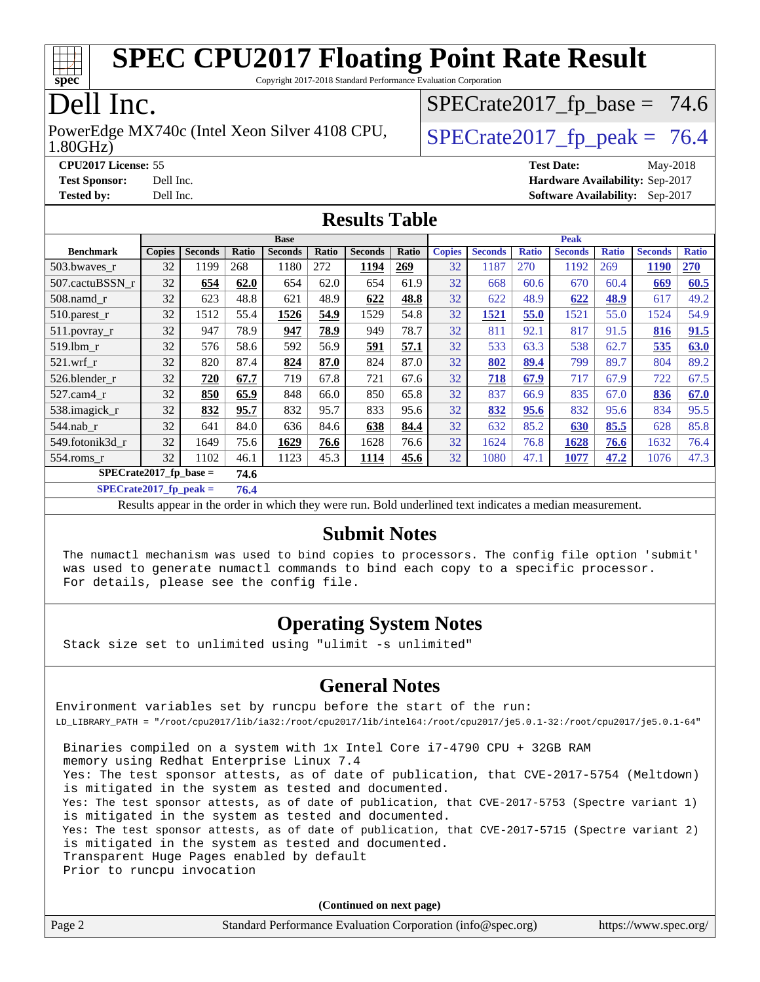

Copyright 2017-2018 Standard Performance Evaluation Corporation

## Dell Inc.

PowerEdge MX740c (Intel Xeon Silver 4108 CPU,  $\vert$  SPECrate 2017 fp peak = 76.4

 $SPECTate2017_fp\_base = 74.6$ 

#### 1.80GHz)

**[CPU2017 License:](http://www.spec.org/auto/cpu2017/Docs/result-fields.html#CPU2017License)** 55 **[Test Date:](http://www.spec.org/auto/cpu2017/Docs/result-fields.html#TestDate)** May-2018

**[Test Sponsor:](http://www.spec.org/auto/cpu2017/Docs/result-fields.html#TestSponsor)** Dell Inc. **[Hardware Availability:](http://www.spec.org/auto/cpu2017/Docs/result-fields.html#HardwareAvailability)** Sep-2017 **[Tested by:](http://www.spec.org/auto/cpu2017/Docs/result-fields.html#Testedby)** Dell Inc. **[Software Availability:](http://www.spec.org/auto/cpu2017/Docs/result-fields.html#SoftwareAvailability)** Sep-2017

### **[Results Table](http://www.spec.org/auto/cpu2017/Docs/result-fields.html#ResultsTable)**

|                          | <b>Base</b>   |                |       |                |       | <b>Peak</b>    |       |               |                |              |                |              |                |              |
|--------------------------|---------------|----------------|-------|----------------|-------|----------------|-------|---------------|----------------|--------------|----------------|--------------|----------------|--------------|
| <b>Benchmark</b>         | <b>Copies</b> | <b>Seconds</b> | Ratio | <b>Seconds</b> | Ratio | <b>Seconds</b> | Ratio | <b>Copies</b> | <b>Seconds</b> | <b>Ratio</b> | <b>Seconds</b> | <b>Ratio</b> | <b>Seconds</b> | <b>Ratio</b> |
| 503.bwayes r             | 32            | 1199           | 268   | 1180           | 272   | 1194           | 269   | 32            | 1187           | 270          | 1192           | 269          | 1190           | 270          |
| 507.cactuBSSN r          | 32            | 654            | 62.0  | 654            | 62.0  | 654            | 61.9  | 32            | 668            | 60.6         | 670            | 60.4         | 669            | 60.5         |
| $508$ .namd $r$          | 32            | 623            | 48.8  | 621            | 48.9  | 622            | 48.8  | 32            | 622            | 48.9         | 622            | 48.9         | 617            | 49.2         |
| 510.parest_r             | 32            | 1512           | 55.4  | 1526           | 54.9  | 1529           | 54.8  | 32            | 1521           | 55.0         | 1521           | 55.0         | 1524           | 54.9         |
| 511.povray_r             | 32            | 947            | 78.9  | 947            | 78.9  | 949            | 78.7  | 32            | 811            | 92.1         | 817            | 91.5         | 816            | 91.5         |
| 519.lbm r                | 32            | 576            | 58.6  | 592            | 56.9  | 591            | 57.1  | 32            | 533            | 63.3         | 538            | 62.7         | 535            | 63.0         |
| $521$ .wrf r             | 32            | 820            | 87.4  | 824            | 87.0  | 824            | 87.0  | 32            | 802            | 89.4         | 799            | 89.7         | 804            | 89.2         |
| 526.blender r            | 32            | 720            | 67.7  | 719            | 67.8  | 721            | 67.6  | 32            | 718            | 67.9         | 717            | 67.9         | 722            | 67.5         |
| 527.cam4 r               | 32            | 850            | 65.9  | 848            | 66.0  | 850            | 65.8  | 32            | 837            | 66.9         | 835            | 67.0         | 836            | 67.0         |
| 538.imagick_r            | 32            | 832            | 95.7  | 832            | 95.7  | 833            | 95.6  | 32            | 832            | 95.6         | 832            | 95.6         | 834            | 95.5         |
| $544$ .nab r             | 32            | 641            | 84.0  | 636            | 84.6  | 638            | 84.4  | 32            | 632            | 85.2         | 630            | 85.5         | 628            | 85.8         |
| 549.fotonik3d r          | 32            | 1649           | 75.6  | 1629           | 76.6  | 1628           | 76.6  | 32            | 1624           | 76.8         | 1628           | 76.6         | 1632           | 76.4         |
| $554$ .roms $r$          | 32            | 1102           | 46.1  | 1123           | 45.3  | <b>1114</b>    | 45.6  | 32            | 1080           | 47.1         | 1077           | 47.2         | 1076           | 47.3         |
| $SPECrate2017$ fp base = |               | 74.6           |       |                |       |                |       |               |                |              |                |              |                |              |

**[SPECrate2017\\_fp\\_peak =](http://www.spec.org/auto/cpu2017/Docs/result-fields.html#SPECrate2017fppeak) 76.4**

Results appear in the [order in which they were run.](http://www.spec.org/auto/cpu2017/Docs/result-fields.html#RunOrder) Bold underlined text [indicates a median measurement.](http://www.spec.org/auto/cpu2017/Docs/result-fields.html#Median)

#### **[Submit Notes](http://www.spec.org/auto/cpu2017/Docs/result-fields.html#SubmitNotes)**

 The numactl mechanism was used to bind copies to processors. The config file option 'submit' was used to generate numactl commands to bind each copy to a specific processor. For details, please see the config file.

### **[Operating System Notes](http://www.spec.org/auto/cpu2017/Docs/result-fields.html#OperatingSystemNotes)**

Stack size set to unlimited using "ulimit -s unlimited"

#### **[General Notes](http://www.spec.org/auto/cpu2017/Docs/result-fields.html#GeneralNotes)**

Environment variables set by runcpu before the start of the run: LD\_LIBRARY\_PATH = "/root/cpu2017/lib/ia32:/root/cpu2017/lib/intel64:/root/cpu2017/je5.0.1-32:/root/cpu2017/je5.0.1-64"

 Binaries compiled on a system with 1x Intel Core i7-4790 CPU + 32GB RAM memory using Redhat Enterprise Linux 7.4 Yes: The test sponsor attests, as of date of publication, that CVE-2017-5754 (Meltdown) is mitigated in the system as tested and documented. Yes: The test sponsor attests, as of date of publication, that CVE-2017-5753 (Spectre variant 1) is mitigated in the system as tested and documented. Yes: The test sponsor attests, as of date of publication, that CVE-2017-5715 (Spectre variant 2) is mitigated in the system as tested and documented. Transparent Huge Pages enabled by default Prior to runcpu invocation

**(Continued on next page)**

| Page 2 | Standard Performance Evaluation Corporation (info@spec.org) | https://www.spec.org/ |
|--------|-------------------------------------------------------------|-----------------------|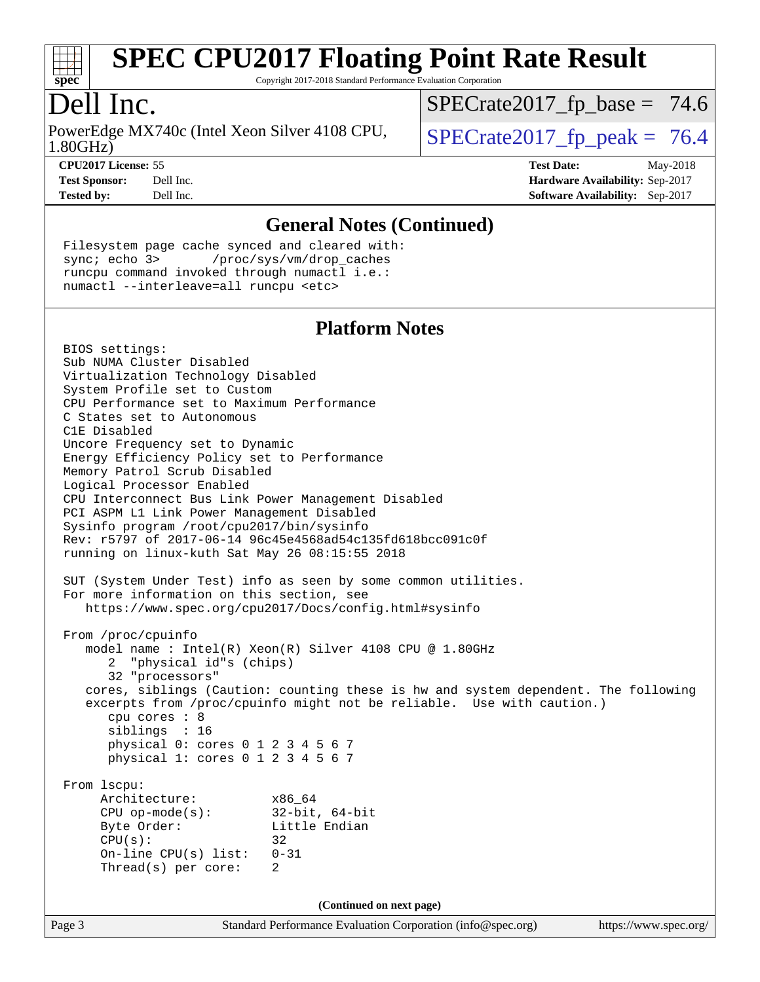

Copyright 2017-2018 Standard Performance Evaluation Corporation

### Dell Inc.

1.80GHz) PowerEdge MX740c (Intel Xeon Silver 4108 CPU,  $\vert$  SPECrate 2017 fp peak = 76.4

 $SPECTate2017_fp\_base = 74.6$ 

**[CPU2017 License:](http://www.spec.org/auto/cpu2017/Docs/result-fields.html#CPU2017License)** 55 **[Test Date:](http://www.spec.org/auto/cpu2017/Docs/result-fields.html#TestDate)** May-2018 **[Test Sponsor:](http://www.spec.org/auto/cpu2017/Docs/result-fields.html#TestSponsor)** Dell Inc. **[Hardware Availability:](http://www.spec.org/auto/cpu2017/Docs/result-fields.html#HardwareAvailability)** Sep-2017 **[Tested by:](http://www.spec.org/auto/cpu2017/Docs/result-fields.html#Testedby)** Dell Inc. **[Software Availability:](http://www.spec.org/auto/cpu2017/Docs/result-fields.html#SoftwareAvailability)** Sep-2017

#### **[General Notes \(Continued\)](http://www.spec.org/auto/cpu2017/Docs/result-fields.html#GeneralNotes)**

 Filesystem page cache synced and cleared with: sync; echo 3> /proc/sys/vm/drop\_caches runcpu command invoked through numactl i.e.: numactl --interleave=all runcpu <etc>

#### **[Platform Notes](http://www.spec.org/auto/cpu2017/Docs/result-fields.html#PlatformNotes)**

Page 3 Standard Performance Evaluation Corporation [\(info@spec.org\)](mailto:info@spec.org) <https://www.spec.org/> BIOS settings: Sub NUMA Cluster Disabled Virtualization Technology Disabled System Profile set to Custom CPU Performance set to Maximum Performance C States set to Autonomous C1E Disabled Uncore Frequency set to Dynamic Energy Efficiency Policy set to Performance Memory Patrol Scrub Disabled Logical Processor Enabled CPU Interconnect Bus Link Power Management Disabled PCI ASPM L1 Link Power Management Disabled Sysinfo program /root/cpu2017/bin/sysinfo Rev: r5797 of 2017-06-14 96c45e4568ad54c135fd618bcc091c0f running on linux-kuth Sat May 26 08:15:55 2018 SUT (System Under Test) info as seen by some common utilities. For more information on this section, see <https://www.spec.org/cpu2017/Docs/config.html#sysinfo> From /proc/cpuinfo model name : Intel(R) Xeon(R) Silver 4108 CPU @ 1.80GHz 2 "physical id"s (chips) 32 "processors" cores, siblings (Caution: counting these is hw and system dependent. The following excerpts from /proc/cpuinfo might not be reliable. Use with caution.) cpu cores : 8 siblings : 16 physical 0: cores 0 1 2 3 4 5 6 7 physical 1: cores 0 1 2 3 4 5 6 7 From lscpu: Architecture: x86\_64 CPU op-mode(s): 32-bit, 64-bit Byte Order: Little Endian  $CPU(s):$  32 On-line CPU(s) list: 0-31 Thread(s) per core: 2 **(Continued on next page)**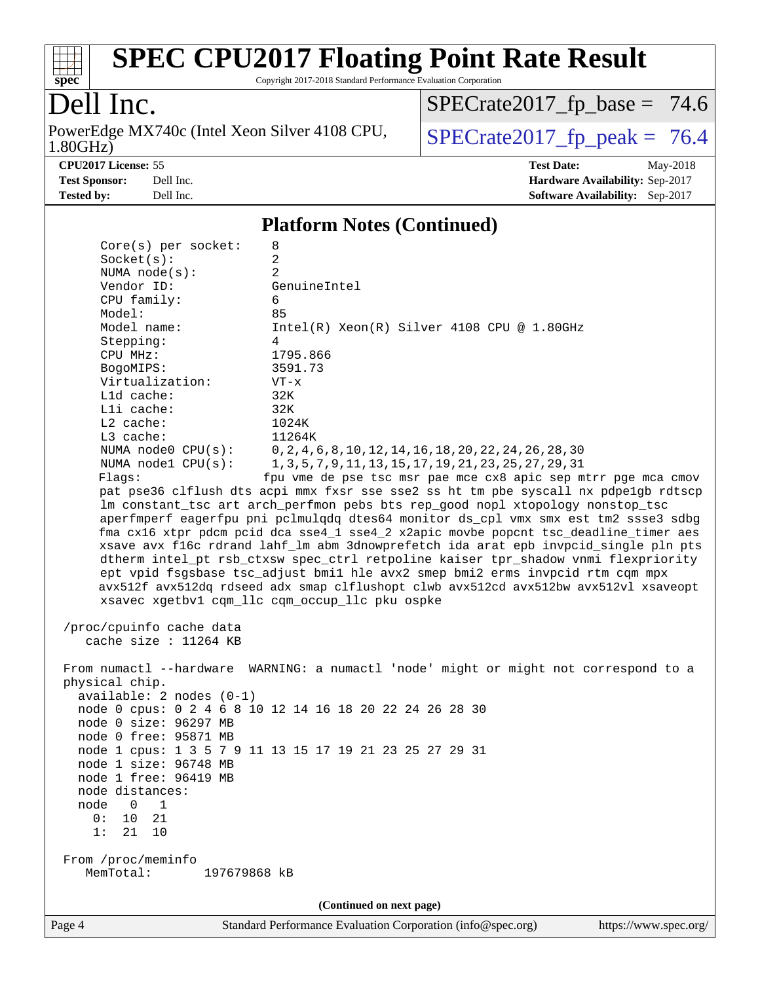

Copyright 2017-2018 Standard Performance Evaluation Corporation

## Dell Inc.

1.80GHz) PowerEdge MX740c (Intel Xeon Silver 4108 CPU,  $\big|$  [SPECrate2017\\_fp\\_peak =](http://www.spec.org/auto/cpu2017/Docs/result-fields.html#SPECrate2017fppeak) 76.4

 $SPECrate2017_fp\_base = 74.6$ 

**[CPU2017 License:](http://www.spec.org/auto/cpu2017/Docs/result-fields.html#CPU2017License)** 55 **[Test Date:](http://www.spec.org/auto/cpu2017/Docs/result-fields.html#TestDate)** May-2018

**[Test Sponsor:](http://www.spec.org/auto/cpu2017/Docs/result-fields.html#TestSponsor)** Dell Inc. **[Hardware Availability:](http://www.spec.org/auto/cpu2017/Docs/result-fields.html#HardwareAvailability)** Sep-2017 **[Tested by:](http://www.spec.org/auto/cpu2017/Docs/result-fields.html#Testedby)** Dell Inc. **[Software Availability:](http://www.spec.org/auto/cpu2017/Docs/result-fields.html#SoftwareAvailability)** Sep-2017

#### **[Platform Notes \(Continued\)](http://www.spec.org/auto/cpu2017/Docs/result-fields.html#PlatformNotes)**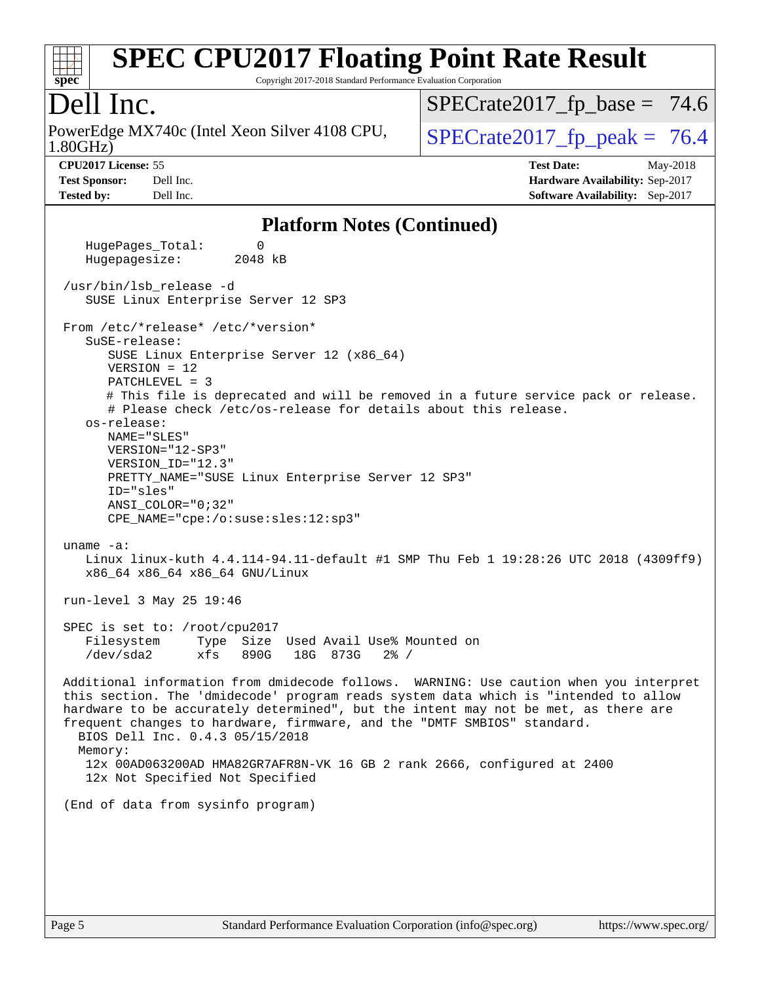

Copyright 2017-2018 Standard Performance Evaluation Corporation

### Dell Inc.

1.80GHz) PowerEdge MX740c (Intel Xeon Silver 4108 CPU,  $\big|$  SPECrate 2017 fp peak = 76.4

 $SPECTate2017_fp\_base = 74.6$ 

**[Tested by:](http://www.spec.org/auto/cpu2017/Docs/result-fields.html#Testedby)** Dell Inc. **[Software Availability:](http://www.spec.org/auto/cpu2017/Docs/result-fields.html#SoftwareAvailability)** Sep-2017

**[CPU2017 License:](http://www.spec.org/auto/cpu2017/Docs/result-fields.html#CPU2017License)** 55 **[Test Date:](http://www.spec.org/auto/cpu2017/Docs/result-fields.html#TestDate)** May-2018 **[Test Sponsor:](http://www.spec.org/auto/cpu2017/Docs/result-fields.html#TestSponsor)** Dell Inc. **[Hardware Availability:](http://www.spec.org/auto/cpu2017/Docs/result-fields.html#HardwareAvailability)** Sep-2017

#### **[Platform Notes \(Continued\)](http://www.spec.org/auto/cpu2017/Docs/result-fields.html#PlatformNotes)**

HugePages Total: 0 Hugepagesize: 2048 kB /usr/bin/lsb\_release -d SUSE Linux Enterprise Server 12 SP3 From /etc/\*release\* /etc/\*version\* SuSE-release: SUSE Linux Enterprise Server 12 (x86\_64) VERSION = 12 PATCHLEVEL = 3 # This file is deprecated and will be removed in a future service pack or release. # Please check /etc/os-release for details about this release. os-release: NAME="SLES" VERSION="12-SP3" VERSION\_ID="12.3" PRETTY\_NAME="SUSE Linux Enterprise Server 12 SP3" ID="sles" ANSI\_COLOR="0;32" CPE\_NAME="cpe:/o:suse:sles:12:sp3" uname -a: Linux linux-kuth 4.4.114-94.11-default #1 SMP Thu Feb 1 19:28:26 UTC 2018 (4309ff9) x86\_64 x86\_64 x86\_64 GNU/Linux run-level 3 May 25 19:46 SPEC is set to: /root/cpu2017 Filesystem Type Size Used Avail Use% Mounted on /dev/sda2 xfs 890G 18G 873G 2% / Additional information from dmidecode follows. WARNING: Use caution when you interpret this section. The 'dmidecode' program reads system data which is "intended to allow hardware to be accurately determined", but the intent may not be met, as there are frequent changes to hardware, firmware, and the "DMTF SMBIOS" standard. BIOS Dell Inc. 0.4.3 05/15/2018 Memory: 12x 00AD063200AD HMA82GR7AFR8N-VK 16 GB 2 rank 2666, configured at 2400 12x Not Specified Not Specified (End of data from sysinfo program)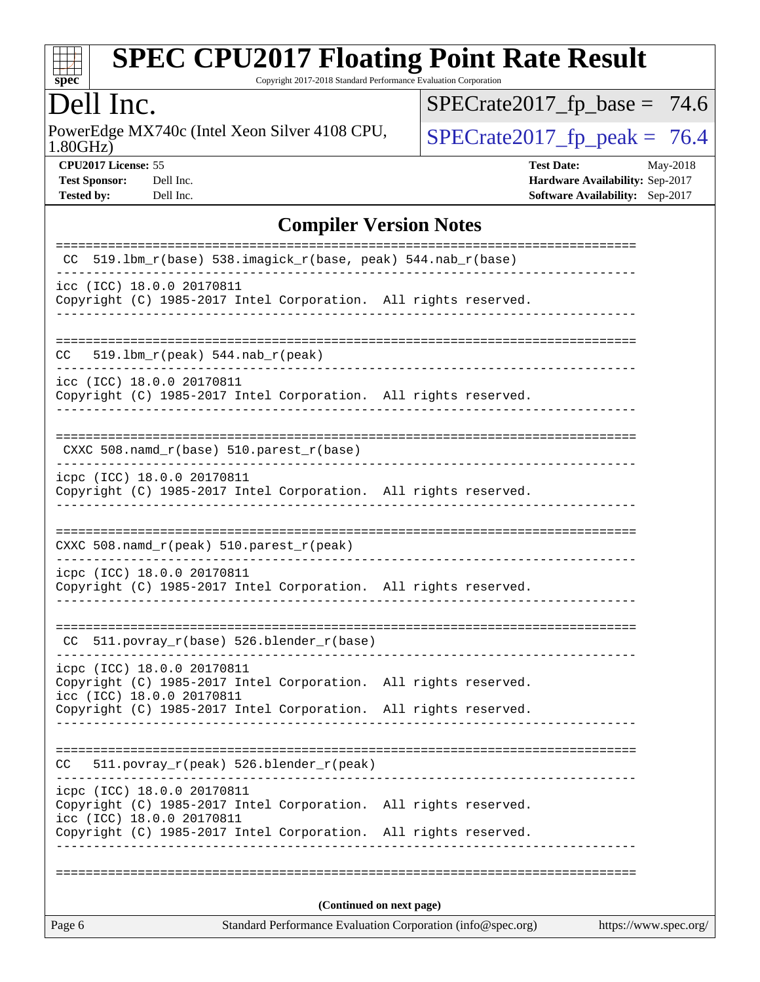

Copyright 2017-2018 Standard Performance Evaluation Corporation

Dell Inc.<br>PowerEdge MX740c (Intel Xeon Silver 4108 CPU, 1.80GHz)

 $SPECrate2017_fp\_peak = 76.4$  $SPECrate2017_fp\_base = 74.6$ 

**[Tested by:](http://www.spec.org/auto/cpu2017/Docs/result-fields.html#Testedby)** Dell Inc. **[Software Availability:](http://www.spec.org/auto/cpu2017/Docs/result-fields.html#SoftwareAvailability)** Sep-2017

**[CPU2017 License:](http://www.spec.org/auto/cpu2017/Docs/result-fields.html#CPU2017License)** 55 **[Test Date:](http://www.spec.org/auto/cpu2017/Docs/result-fields.html#TestDate)** May-2018 **[Test Sponsor:](http://www.spec.org/auto/cpu2017/Docs/result-fields.html#TestSponsor)** Dell Inc. **[Hardware Availability:](http://www.spec.org/auto/cpu2017/Docs/result-fields.html#HardwareAvailability)** Sep-2017

### **[Compiler Version Notes](http://www.spec.org/auto/cpu2017/Docs/result-fields.html#CompilerVersionNotes)**

| Page 6                                                  |                                                                 | Standard Performance Evaluation Corporation (info@spec.org) | https://www.spec.org/ |
|---------------------------------------------------------|-----------------------------------------------------------------|-------------------------------------------------------------|-----------------------|
|                                                         |                                                                 | (Continued on next page)                                    |                       |
|                                                         |                                                                 |                                                             |                       |
| icc (ICC) 18.0.0 20170811                               | Copyright (C) 1985-2017 Intel Corporation. All rights reserved. |                                                             |                       |
| icpc (ICC) 18.0.0 20170811                              | Copyright (C) 1985-2017 Intel Corporation. All rights reserved. | --------------------------------------                      |                       |
| CC.                                                     | 511.povray_r(peak) 526.blender_r(peak)                          |                                                             |                       |
|                                                         | Copyright (C) 1985-2017 Intel Corporation. All rights reserved. |                                                             |                       |
| icpc (ICC) 18.0.0 20170811<br>icc (ICC) 18.0.0 20170811 | Copyright (C) 1985-2017 Intel Corporation. All rights reserved. |                                                             |                       |
| CC.                                                     | 511.povray_r(base) 526.blender_r(base)                          |                                                             |                       |
| icpc (ICC) 18.0.0 20170811                              | Copyright (C) 1985-2017 Intel Corporation. All rights reserved. |                                                             |                       |
|                                                         | CXXC 508.namd_r(peak) 510.parest_r(peak)                        |                                                             |                       |
|                                                         | Copyright (C) 1985-2017 Intel Corporation. All rights reserved. |                                                             |                       |
| icpc (ICC) 18.0.0 20170811                              |                                                                 |                                                             |                       |
|                                                         | CXXC 508.namd_r(base) 510.parest_r(base)                        |                                                             |                       |
| icc (ICC) 18.0.0 20170811                               | Copyright (C) 1985-2017 Intel Corporation. All rights reserved. |                                                             |                       |
| CC.                                                     | $519.1bm_r(peak) 544.nab_r(peak)$                               |                                                             |                       |
| icc (ICC) 18.0.0 20170811                               | Copyright (C) 1985-2017 Intel Corporation. All rights reserved. |                                                             |                       |
| CC.                                                     | 519.1bm_r(base) 538.imagick_r(base, peak) 544.nab_r(base)       |                                                             |                       |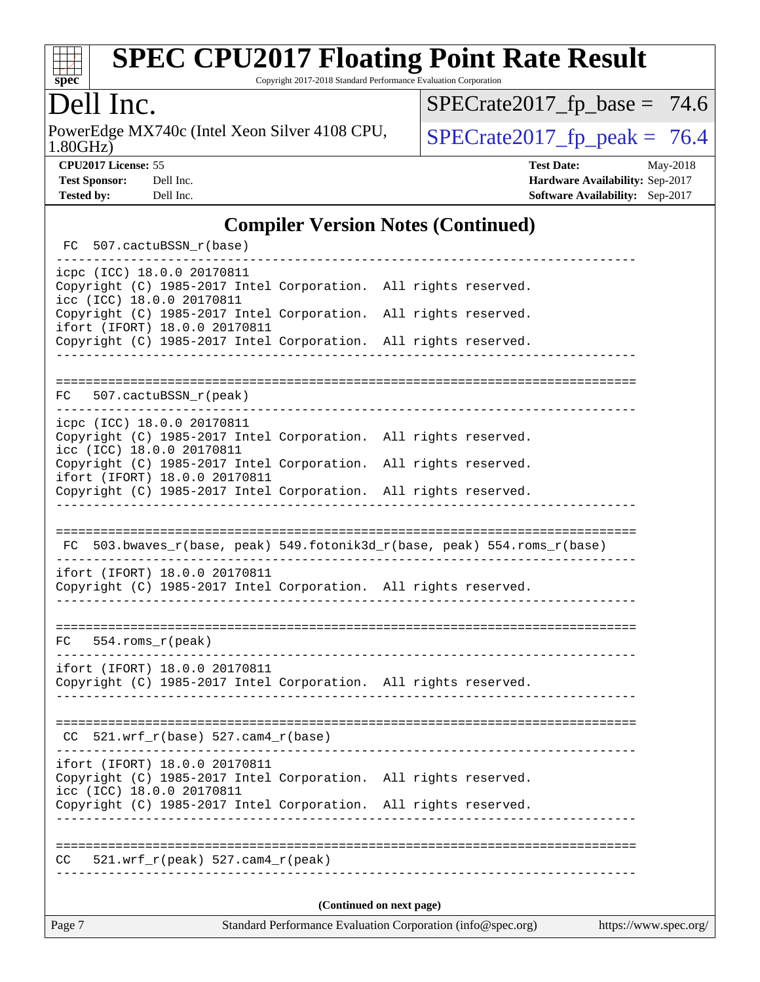

Copyright 2017-2018 Standard Performance Evaluation Corporation

## Dell Inc.

1.80GHz) PowerEdge MX740c (Intel Xeon Silver 4108 CPU,  $\big|$  [SPECrate2017\\_fp\\_peak =](http://www.spec.org/auto/cpu2017/Docs/result-fields.html#SPECrate2017fppeak) 76.4

 $SPECrate2017_fp\_base = 74.6$ 

**[CPU2017 License:](http://www.spec.org/auto/cpu2017/Docs/result-fields.html#CPU2017License)** 55 **[Test Date:](http://www.spec.org/auto/cpu2017/Docs/result-fields.html#TestDate)** May-2018 **[Test Sponsor:](http://www.spec.org/auto/cpu2017/Docs/result-fields.html#TestSponsor)** Dell Inc. **[Hardware Availability:](http://www.spec.org/auto/cpu2017/Docs/result-fields.html#HardwareAvailability)** Sep-2017 **[Tested by:](http://www.spec.org/auto/cpu2017/Docs/result-fields.html#Testedby)** Dell Inc. **[Software Availability:](http://www.spec.org/auto/cpu2017/Docs/result-fields.html#SoftwareAvailability)** Sep-2017

#### **[Compiler Version Notes \(Continued\)](http://www.spec.org/auto/cpu2017/Docs/result-fields.html#CompilerVersionNotes)**

| FC 507.cactuBSSN_r(base)                                                                                                      |                         |                                                                          |
|-------------------------------------------------------------------------------------------------------------------------------|-------------------------|--------------------------------------------------------------------------|
| icpc (ICC) 18.0.0 20170811<br>Copyright (C) 1985-2017 Intel Corporation. All rights reserved.<br>icc (ICC) 18.0.0 20170811    |                         |                                                                          |
| Copyright (C) 1985-2017 Intel Corporation. All rights reserved.<br>ifort (IFORT) 18.0.0 20170811                              |                         |                                                                          |
| Copyright (C) 1985-2017 Intel Corporation. All rights reserved.                                                               |                         |                                                                          |
|                                                                                                                               |                         |                                                                          |
| FC 507.cactuBSSN_r(peak)<br>-----                                                                                             |                         |                                                                          |
| icpc (ICC) 18.0.0 20170811<br>Copyright (C) 1985-2017 Intel Corporation. All rights reserved.<br>icc (ICC) 18.0.0 20170811    |                         |                                                                          |
| Copyright (C) 1985-2017 Intel Corporation. All rights reserved.<br>ifort (IFORT) 18.0.0 20170811                              |                         |                                                                          |
| Copyright (C) 1985-2017 Intel Corporation. All rights reserved.                                                               | _______________________ |                                                                          |
|                                                                                                                               |                         |                                                                          |
|                                                                                                                               |                         | FC 503.bwaves_r(base, peak) 549.fotonik3d_r(base, peak) 554.roms_r(base) |
| ifort (IFORT) 18.0.0 20170811<br>Copyright (C) 1985-2017 Intel Corporation. All rights reserved.                              |                         |                                                                          |
| $FC 554.rows_r (peak)$                                                                                                        |                         |                                                                          |
|                                                                                                                               |                         |                                                                          |
| ifort (IFORT) 18.0.0 20170811<br>Copyright (C) 1985-2017 Intel Corporation. All rights reserved.                              |                         |                                                                          |
|                                                                                                                               |                         |                                                                          |
| $CC$ 521.wrf_r(base) 527.cam4_r(base)                                                                                         |                         |                                                                          |
| ifort (IFORT) 18.0.0 20170811<br>Copyright (C) 1985-2017 Intel Corporation. All rights reserved.<br>icc (ICC) 18.0.0 20170811 |                         |                                                                          |
| Copyright (C) 1985-2017 Intel Corporation. All rights reserved.                                                               |                         |                                                                          |
|                                                                                                                               |                         |                                                                          |
| CC<br>$521.wrf_r(peak) 527.camf_r(peak)$                                                                                      |                         |                                                                          |
|                                                                                                                               |                         |                                                                          |
|                                                                                                                               |                         | (Continued on next page)                                                 |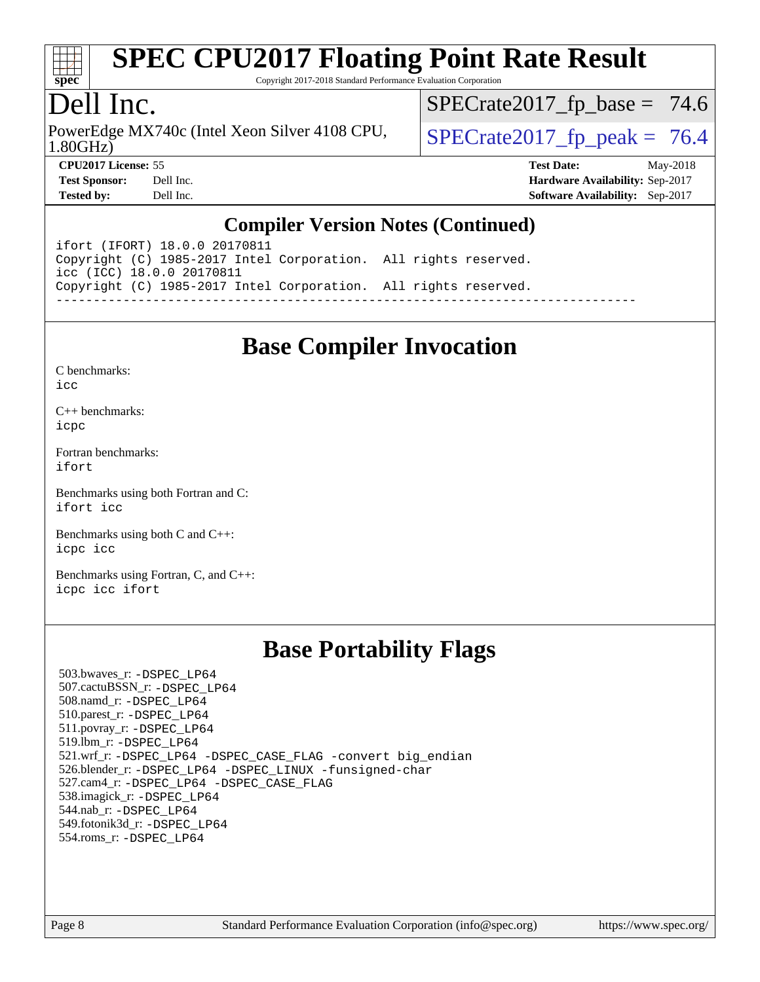

Copyright 2017-2018 Standard Performance Evaluation Corporation

### Dell Inc.

1.80GHz) PowerEdge MX740c (Intel Xeon Silver 4108 CPU,  $\big|$  SPECrate 2017 fp peak = 76.4

 $SPECTate2017_fp\_base = 74.6$ 

**[CPU2017 License:](http://www.spec.org/auto/cpu2017/Docs/result-fields.html#CPU2017License)** 55 **[Test Date:](http://www.spec.org/auto/cpu2017/Docs/result-fields.html#TestDate)** May-2018 **[Test Sponsor:](http://www.spec.org/auto/cpu2017/Docs/result-fields.html#TestSponsor)** Dell Inc. **[Hardware Availability:](http://www.spec.org/auto/cpu2017/Docs/result-fields.html#HardwareAvailability)** Sep-2017 **[Tested by:](http://www.spec.org/auto/cpu2017/Docs/result-fields.html#Testedby)** Dell Inc. **[Software Availability:](http://www.spec.org/auto/cpu2017/Docs/result-fields.html#SoftwareAvailability)** Sep-2017

#### **[Compiler Version Notes \(Continued\)](http://www.spec.org/auto/cpu2017/Docs/result-fields.html#CompilerVersionNotes)**

ifort (IFORT) 18.0.0 20170811 Copyright (C) 1985-2017 Intel Corporation. All rights reserved. icc (ICC) 18.0.0 20170811 Copyright (C) 1985-2017 Intel Corporation. All rights reserved. ------------------------------------------------------------------------------

### **[Base Compiler Invocation](http://www.spec.org/auto/cpu2017/Docs/result-fields.html#BaseCompilerInvocation)**

[C benchmarks](http://www.spec.org/auto/cpu2017/Docs/result-fields.html#Cbenchmarks):  $i$ cc

[C++ benchmarks:](http://www.spec.org/auto/cpu2017/Docs/result-fields.html#CXXbenchmarks) [icpc](http://www.spec.org/cpu2017/results/res2018q3/cpu2017-20180820-08543.flags.html#user_CXXbase_intel_icpc_18.0_c510b6838c7f56d33e37e94d029a35b4a7bccf4766a728ee175e80a419847e808290a9b78be685c44ab727ea267ec2f070ec5dc83b407c0218cded6866a35d07)

[Fortran benchmarks](http://www.spec.org/auto/cpu2017/Docs/result-fields.html#Fortranbenchmarks): [ifort](http://www.spec.org/cpu2017/results/res2018q3/cpu2017-20180820-08543.flags.html#user_FCbase_intel_ifort_18.0_8111460550e3ca792625aed983ce982f94888b8b503583aa7ba2b8303487b4d8a21a13e7191a45c5fd58ff318f48f9492884d4413fa793fd88dd292cad7027ca)

[Benchmarks using both Fortran and C](http://www.spec.org/auto/cpu2017/Docs/result-fields.html#BenchmarksusingbothFortranandC): [ifort](http://www.spec.org/cpu2017/results/res2018q3/cpu2017-20180820-08543.flags.html#user_CC_FCbase_intel_ifort_18.0_8111460550e3ca792625aed983ce982f94888b8b503583aa7ba2b8303487b4d8a21a13e7191a45c5fd58ff318f48f9492884d4413fa793fd88dd292cad7027ca) [icc](http://www.spec.org/cpu2017/results/res2018q3/cpu2017-20180820-08543.flags.html#user_CC_FCbase_intel_icc_18.0_66fc1ee009f7361af1fbd72ca7dcefbb700085f36577c54f309893dd4ec40d12360134090235512931783d35fd58c0460139e722d5067c5574d8eaf2b3e37e92)

[Benchmarks using both C and C++](http://www.spec.org/auto/cpu2017/Docs/result-fields.html#BenchmarksusingbothCandCXX): [icpc](http://www.spec.org/cpu2017/results/res2018q3/cpu2017-20180820-08543.flags.html#user_CC_CXXbase_intel_icpc_18.0_c510b6838c7f56d33e37e94d029a35b4a7bccf4766a728ee175e80a419847e808290a9b78be685c44ab727ea267ec2f070ec5dc83b407c0218cded6866a35d07) [icc](http://www.spec.org/cpu2017/results/res2018q3/cpu2017-20180820-08543.flags.html#user_CC_CXXbase_intel_icc_18.0_66fc1ee009f7361af1fbd72ca7dcefbb700085f36577c54f309893dd4ec40d12360134090235512931783d35fd58c0460139e722d5067c5574d8eaf2b3e37e92)

[Benchmarks using Fortran, C, and C++:](http://www.spec.org/auto/cpu2017/Docs/result-fields.html#BenchmarksusingFortranCandCXX) [icpc](http://www.spec.org/cpu2017/results/res2018q3/cpu2017-20180820-08543.flags.html#user_CC_CXX_FCbase_intel_icpc_18.0_c510b6838c7f56d33e37e94d029a35b4a7bccf4766a728ee175e80a419847e808290a9b78be685c44ab727ea267ec2f070ec5dc83b407c0218cded6866a35d07) [icc](http://www.spec.org/cpu2017/results/res2018q3/cpu2017-20180820-08543.flags.html#user_CC_CXX_FCbase_intel_icc_18.0_66fc1ee009f7361af1fbd72ca7dcefbb700085f36577c54f309893dd4ec40d12360134090235512931783d35fd58c0460139e722d5067c5574d8eaf2b3e37e92) [ifort](http://www.spec.org/cpu2017/results/res2018q3/cpu2017-20180820-08543.flags.html#user_CC_CXX_FCbase_intel_ifort_18.0_8111460550e3ca792625aed983ce982f94888b8b503583aa7ba2b8303487b4d8a21a13e7191a45c5fd58ff318f48f9492884d4413fa793fd88dd292cad7027ca)

### **[Base Portability Flags](http://www.spec.org/auto/cpu2017/Docs/result-fields.html#BasePortabilityFlags)**

 503.bwaves\_r: [-DSPEC\\_LP64](http://www.spec.org/cpu2017/results/res2018q3/cpu2017-20180820-08543.flags.html#suite_basePORTABILITY503_bwaves_r_DSPEC_LP64) 507.cactuBSSN\_r: [-DSPEC\\_LP64](http://www.spec.org/cpu2017/results/res2018q3/cpu2017-20180820-08543.flags.html#suite_basePORTABILITY507_cactuBSSN_r_DSPEC_LP64) 508.namd\_r: [-DSPEC\\_LP64](http://www.spec.org/cpu2017/results/res2018q3/cpu2017-20180820-08543.flags.html#suite_basePORTABILITY508_namd_r_DSPEC_LP64) 510.parest\_r: [-DSPEC\\_LP64](http://www.spec.org/cpu2017/results/res2018q3/cpu2017-20180820-08543.flags.html#suite_basePORTABILITY510_parest_r_DSPEC_LP64) 511.povray\_r: [-DSPEC\\_LP64](http://www.spec.org/cpu2017/results/res2018q3/cpu2017-20180820-08543.flags.html#suite_basePORTABILITY511_povray_r_DSPEC_LP64) 519.lbm\_r: [-DSPEC\\_LP64](http://www.spec.org/cpu2017/results/res2018q3/cpu2017-20180820-08543.flags.html#suite_basePORTABILITY519_lbm_r_DSPEC_LP64) 521.wrf\_r: [-DSPEC\\_LP64](http://www.spec.org/cpu2017/results/res2018q3/cpu2017-20180820-08543.flags.html#suite_basePORTABILITY521_wrf_r_DSPEC_LP64) [-DSPEC\\_CASE\\_FLAG](http://www.spec.org/cpu2017/results/res2018q3/cpu2017-20180820-08543.flags.html#b521.wrf_r_baseCPORTABILITY_DSPEC_CASE_FLAG) [-convert big\\_endian](http://www.spec.org/cpu2017/results/res2018q3/cpu2017-20180820-08543.flags.html#user_baseFPORTABILITY521_wrf_r_convert_big_endian_c3194028bc08c63ac5d04de18c48ce6d347e4e562e8892b8bdbdc0214820426deb8554edfa529a3fb25a586e65a3d812c835984020483e7e73212c4d31a38223) 526.blender\_r: [-DSPEC\\_LP64](http://www.spec.org/cpu2017/results/res2018q3/cpu2017-20180820-08543.flags.html#suite_basePORTABILITY526_blender_r_DSPEC_LP64) [-DSPEC\\_LINUX](http://www.spec.org/cpu2017/results/res2018q3/cpu2017-20180820-08543.flags.html#b526.blender_r_baseCPORTABILITY_DSPEC_LINUX) [-funsigned-char](http://www.spec.org/cpu2017/results/res2018q3/cpu2017-20180820-08543.flags.html#user_baseCPORTABILITY526_blender_r_force_uchar_40c60f00ab013830e2dd6774aeded3ff59883ba5a1fc5fc14077f794d777847726e2a5858cbc7672e36e1b067e7e5c1d9a74f7176df07886a243d7cc18edfe67) 527.cam4\_r: [-DSPEC\\_LP64](http://www.spec.org/cpu2017/results/res2018q3/cpu2017-20180820-08543.flags.html#suite_basePORTABILITY527_cam4_r_DSPEC_LP64) [-DSPEC\\_CASE\\_FLAG](http://www.spec.org/cpu2017/results/res2018q3/cpu2017-20180820-08543.flags.html#b527.cam4_r_baseCPORTABILITY_DSPEC_CASE_FLAG) 538.imagick\_r: [-DSPEC\\_LP64](http://www.spec.org/cpu2017/results/res2018q3/cpu2017-20180820-08543.flags.html#suite_basePORTABILITY538_imagick_r_DSPEC_LP64) 544.nab\_r: [-DSPEC\\_LP64](http://www.spec.org/cpu2017/results/res2018q3/cpu2017-20180820-08543.flags.html#suite_basePORTABILITY544_nab_r_DSPEC_LP64) 549.fotonik3d\_r: [-DSPEC\\_LP64](http://www.spec.org/cpu2017/results/res2018q3/cpu2017-20180820-08543.flags.html#suite_basePORTABILITY549_fotonik3d_r_DSPEC_LP64) 554.roms\_r: [-DSPEC\\_LP64](http://www.spec.org/cpu2017/results/res2018q3/cpu2017-20180820-08543.flags.html#suite_basePORTABILITY554_roms_r_DSPEC_LP64)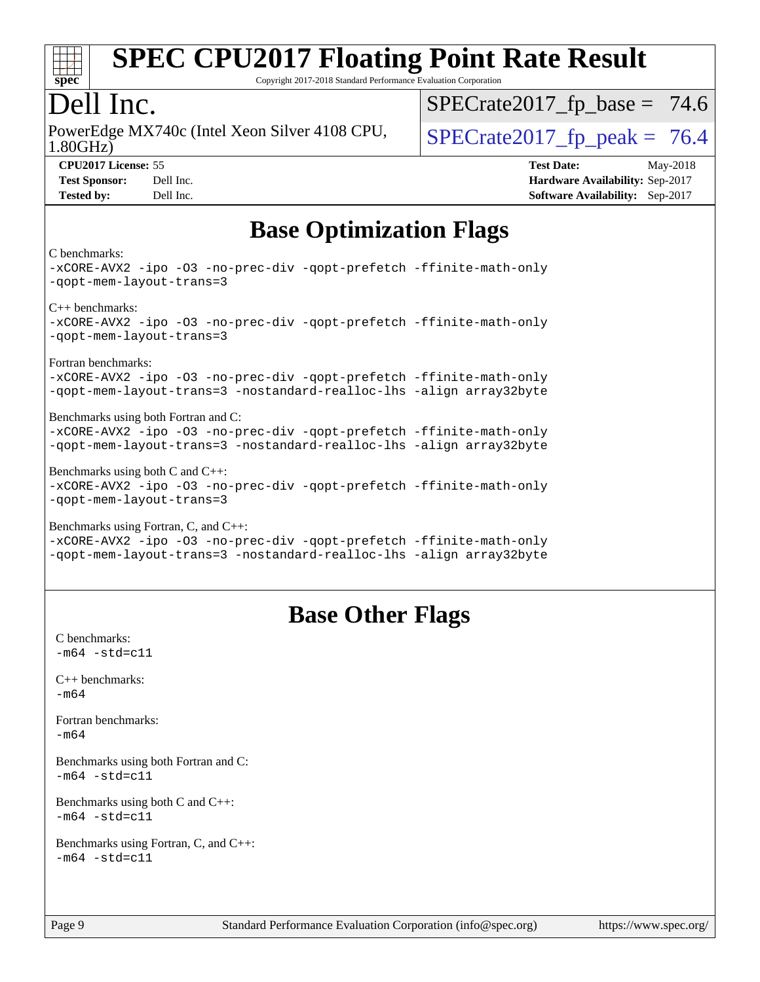

Copyright 2017-2018 Standard Performance Evaluation Corporation

### Dell Inc.

1.80GHz) PowerEdge MX740c (Intel Xeon Silver 4108 CPU,  $\big|$  SPECrate 2017 fp peak = 76.4

 $SPECTate2017_fp\_base = 74.6$ 

**[CPU2017 License:](http://www.spec.org/auto/cpu2017/Docs/result-fields.html#CPU2017License)** 55 **[Test Date:](http://www.spec.org/auto/cpu2017/Docs/result-fields.html#TestDate)** May-2018 **[Test Sponsor:](http://www.spec.org/auto/cpu2017/Docs/result-fields.html#TestSponsor)** Dell Inc. **[Hardware Availability:](http://www.spec.org/auto/cpu2017/Docs/result-fields.html#HardwareAvailability)** Sep-2017 **[Tested by:](http://www.spec.org/auto/cpu2017/Docs/result-fields.html#Testedby)** Dell Inc. **[Software Availability:](http://www.spec.org/auto/cpu2017/Docs/result-fields.html#SoftwareAvailability)** Sep-2017

## **[Base Optimization Flags](http://www.spec.org/auto/cpu2017/Docs/result-fields.html#BaseOptimizationFlags)**

[C benchmarks:](http://www.spec.org/auto/cpu2017/Docs/result-fields.html#Cbenchmarks)

[-xCORE-AVX2](http://www.spec.org/cpu2017/results/res2018q3/cpu2017-20180820-08543.flags.html#user_CCbase_f-xCORE-AVX2) [-ipo](http://www.spec.org/cpu2017/results/res2018q3/cpu2017-20180820-08543.flags.html#user_CCbase_f-ipo) [-O3](http://www.spec.org/cpu2017/results/res2018q3/cpu2017-20180820-08543.flags.html#user_CCbase_f-O3) [-no-prec-div](http://www.spec.org/cpu2017/results/res2018q3/cpu2017-20180820-08543.flags.html#user_CCbase_f-no-prec-div) [-qopt-prefetch](http://www.spec.org/cpu2017/results/res2018q3/cpu2017-20180820-08543.flags.html#user_CCbase_f-qopt-prefetch) [-ffinite-math-only](http://www.spec.org/cpu2017/results/res2018q3/cpu2017-20180820-08543.flags.html#user_CCbase_f_finite_math_only_cb91587bd2077682c4b38af759c288ed7c732db004271a9512da14a4f8007909a5f1427ecbf1a0fb78ff2a814402c6114ac565ca162485bbcae155b5e4258871) [-qopt-mem-layout-trans=3](http://www.spec.org/cpu2017/results/res2018q3/cpu2017-20180820-08543.flags.html#user_CCbase_f-qopt-mem-layout-trans_de80db37974c74b1f0e20d883f0b675c88c3b01e9d123adea9b28688d64333345fb62bc4a798493513fdb68f60282f9a726aa07f478b2f7113531aecce732043) [C++ benchmarks](http://www.spec.org/auto/cpu2017/Docs/result-fields.html#CXXbenchmarks): [-xCORE-AVX2](http://www.spec.org/cpu2017/results/res2018q3/cpu2017-20180820-08543.flags.html#user_CXXbase_f-xCORE-AVX2) [-ipo](http://www.spec.org/cpu2017/results/res2018q3/cpu2017-20180820-08543.flags.html#user_CXXbase_f-ipo) [-O3](http://www.spec.org/cpu2017/results/res2018q3/cpu2017-20180820-08543.flags.html#user_CXXbase_f-O3) [-no-prec-div](http://www.spec.org/cpu2017/results/res2018q3/cpu2017-20180820-08543.flags.html#user_CXXbase_f-no-prec-div) [-qopt-prefetch](http://www.spec.org/cpu2017/results/res2018q3/cpu2017-20180820-08543.flags.html#user_CXXbase_f-qopt-prefetch) [-ffinite-math-only](http://www.spec.org/cpu2017/results/res2018q3/cpu2017-20180820-08543.flags.html#user_CXXbase_f_finite_math_only_cb91587bd2077682c4b38af759c288ed7c732db004271a9512da14a4f8007909a5f1427ecbf1a0fb78ff2a814402c6114ac565ca162485bbcae155b5e4258871) [-qopt-mem-layout-trans=3](http://www.spec.org/cpu2017/results/res2018q3/cpu2017-20180820-08543.flags.html#user_CXXbase_f-qopt-mem-layout-trans_de80db37974c74b1f0e20d883f0b675c88c3b01e9d123adea9b28688d64333345fb62bc4a798493513fdb68f60282f9a726aa07f478b2f7113531aecce732043) [Fortran benchmarks:](http://www.spec.org/auto/cpu2017/Docs/result-fields.html#Fortranbenchmarks) [-xCORE-AVX2](http://www.spec.org/cpu2017/results/res2018q3/cpu2017-20180820-08543.flags.html#user_FCbase_f-xCORE-AVX2) [-ipo](http://www.spec.org/cpu2017/results/res2018q3/cpu2017-20180820-08543.flags.html#user_FCbase_f-ipo) [-O3](http://www.spec.org/cpu2017/results/res2018q3/cpu2017-20180820-08543.flags.html#user_FCbase_f-O3) [-no-prec-div](http://www.spec.org/cpu2017/results/res2018q3/cpu2017-20180820-08543.flags.html#user_FCbase_f-no-prec-div) [-qopt-prefetch](http://www.spec.org/cpu2017/results/res2018q3/cpu2017-20180820-08543.flags.html#user_FCbase_f-qopt-prefetch) [-ffinite-math-only](http://www.spec.org/cpu2017/results/res2018q3/cpu2017-20180820-08543.flags.html#user_FCbase_f_finite_math_only_cb91587bd2077682c4b38af759c288ed7c732db004271a9512da14a4f8007909a5f1427ecbf1a0fb78ff2a814402c6114ac565ca162485bbcae155b5e4258871) [-qopt-mem-layout-trans=3](http://www.spec.org/cpu2017/results/res2018q3/cpu2017-20180820-08543.flags.html#user_FCbase_f-qopt-mem-layout-trans_de80db37974c74b1f0e20d883f0b675c88c3b01e9d123adea9b28688d64333345fb62bc4a798493513fdb68f60282f9a726aa07f478b2f7113531aecce732043) [-nostandard-realloc-lhs](http://www.spec.org/cpu2017/results/res2018q3/cpu2017-20180820-08543.flags.html#user_FCbase_f_2003_std_realloc_82b4557e90729c0f113870c07e44d33d6f5a304b4f63d4c15d2d0f1fab99f5daaed73bdb9275d9ae411527f28b936061aa8b9c8f2d63842963b95c9dd6426b8a) [-align array32byte](http://www.spec.org/cpu2017/results/res2018q3/cpu2017-20180820-08543.flags.html#user_FCbase_align_array32byte_b982fe038af199962ba9a80c053b8342c548c85b40b8e86eb3cc33dee0d7986a4af373ac2d51c3f7cf710a18d62fdce2948f201cd044323541f22fc0fffc51b6) [Benchmarks using both Fortran and C:](http://www.spec.org/auto/cpu2017/Docs/result-fields.html#BenchmarksusingbothFortranandC) [-xCORE-AVX2](http://www.spec.org/cpu2017/results/res2018q3/cpu2017-20180820-08543.flags.html#user_CC_FCbase_f-xCORE-AVX2) [-ipo](http://www.spec.org/cpu2017/results/res2018q3/cpu2017-20180820-08543.flags.html#user_CC_FCbase_f-ipo) [-O3](http://www.spec.org/cpu2017/results/res2018q3/cpu2017-20180820-08543.flags.html#user_CC_FCbase_f-O3) [-no-prec-div](http://www.spec.org/cpu2017/results/res2018q3/cpu2017-20180820-08543.flags.html#user_CC_FCbase_f-no-prec-div) [-qopt-prefetch](http://www.spec.org/cpu2017/results/res2018q3/cpu2017-20180820-08543.flags.html#user_CC_FCbase_f-qopt-prefetch) [-ffinite-math-only](http://www.spec.org/cpu2017/results/res2018q3/cpu2017-20180820-08543.flags.html#user_CC_FCbase_f_finite_math_only_cb91587bd2077682c4b38af759c288ed7c732db004271a9512da14a4f8007909a5f1427ecbf1a0fb78ff2a814402c6114ac565ca162485bbcae155b5e4258871) [-qopt-mem-layout-trans=3](http://www.spec.org/cpu2017/results/res2018q3/cpu2017-20180820-08543.flags.html#user_CC_FCbase_f-qopt-mem-layout-trans_de80db37974c74b1f0e20d883f0b675c88c3b01e9d123adea9b28688d64333345fb62bc4a798493513fdb68f60282f9a726aa07f478b2f7113531aecce732043) [-nostandard-realloc-lhs](http://www.spec.org/cpu2017/results/res2018q3/cpu2017-20180820-08543.flags.html#user_CC_FCbase_f_2003_std_realloc_82b4557e90729c0f113870c07e44d33d6f5a304b4f63d4c15d2d0f1fab99f5daaed73bdb9275d9ae411527f28b936061aa8b9c8f2d63842963b95c9dd6426b8a) [-align array32byte](http://www.spec.org/cpu2017/results/res2018q3/cpu2017-20180820-08543.flags.html#user_CC_FCbase_align_array32byte_b982fe038af199962ba9a80c053b8342c548c85b40b8e86eb3cc33dee0d7986a4af373ac2d51c3f7cf710a18d62fdce2948f201cd044323541f22fc0fffc51b6) [Benchmarks using both C and C++](http://www.spec.org/auto/cpu2017/Docs/result-fields.html#BenchmarksusingbothCandCXX): [-xCORE-AVX2](http://www.spec.org/cpu2017/results/res2018q3/cpu2017-20180820-08543.flags.html#user_CC_CXXbase_f-xCORE-AVX2) [-ipo](http://www.spec.org/cpu2017/results/res2018q3/cpu2017-20180820-08543.flags.html#user_CC_CXXbase_f-ipo) [-O3](http://www.spec.org/cpu2017/results/res2018q3/cpu2017-20180820-08543.flags.html#user_CC_CXXbase_f-O3) [-no-prec-div](http://www.spec.org/cpu2017/results/res2018q3/cpu2017-20180820-08543.flags.html#user_CC_CXXbase_f-no-prec-div) [-qopt-prefetch](http://www.spec.org/cpu2017/results/res2018q3/cpu2017-20180820-08543.flags.html#user_CC_CXXbase_f-qopt-prefetch) [-ffinite-math-only](http://www.spec.org/cpu2017/results/res2018q3/cpu2017-20180820-08543.flags.html#user_CC_CXXbase_f_finite_math_only_cb91587bd2077682c4b38af759c288ed7c732db004271a9512da14a4f8007909a5f1427ecbf1a0fb78ff2a814402c6114ac565ca162485bbcae155b5e4258871) [-qopt-mem-layout-trans=3](http://www.spec.org/cpu2017/results/res2018q3/cpu2017-20180820-08543.flags.html#user_CC_CXXbase_f-qopt-mem-layout-trans_de80db37974c74b1f0e20d883f0b675c88c3b01e9d123adea9b28688d64333345fb62bc4a798493513fdb68f60282f9a726aa07f478b2f7113531aecce732043) [Benchmarks using Fortran, C, and C++](http://www.spec.org/auto/cpu2017/Docs/result-fields.html#BenchmarksusingFortranCandCXX): [-xCORE-AVX2](http://www.spec.org/cpu2017/results/res2018q3/cpu2017-20180820-08543.flags.html#user_CC_CXX_FCbase_f-xCORE-AVX2) [-ipo](http://www.spec.org/cpu2017/results/res2018q3/cpu2017-20180820-08543.flags.html#user_CC_CXX_FCbase_f-ipo) [-O3](http://www.spec.org/cpu2017/results/res2018q3/cpu2017-20180820-08543.flags.html#user_CC_CXX_FCbase_f-O3) [-no-prec-div](http://www.spec.org/cpu2017/results/res2018q3/cpu2017-20180820-08543.flags.html#user_CC_CXX_FCbase_f-no-prec-div) [-qopt-prefetch](http://www.spec.org/cpu2017/results/res2018q3/cpu2017-20180820-08543.flags.html#user_CC_CXX_FCbase_f-qopt-prefetch) [-ffinite-math-only](http://www.spec.org/cpu2017/results/res2018q3/cpu2017-20180820-08543.flags.html#user_CC_CXX_FCbase_f_finite_math_only_cb91587bd2077682c4b38af759c288ed7c732db004271a9512da14a4f8007909a5f1427ecbf1a0fb78ff2a814402c6114ac565ca162485bbcae155b5e4258871) [-qopt-mem-layout-trans=3](http://www.spec.org/cpu2017/results/res2018q3/cpu2017-20180820-08543.flags.html#user_CC_CXX_FCbase_f-qopt-mem-layout-trans_de80db37974c74b1f0e20d883f0b675c88c3b01e9d123adea9b28688d64333345fb62bc4a798493513fdb68f60282f9a726aa07f478b2f7113531aecce732043) [-nostandard-realloc-lhs](http://www.spec.org/cpu2017/results/res2018q3/cpu2017-20180820-08543.flags.html#user_CC_CXX_FCbase_f_2003_std_realloc_82b4557e90729c0f113870c07e44d33d6f5a304b4f63d4c15d2d0f1fab99f5daaed73bdb9275d9ae411527f28b936061aa8b9c8f2d63842963b95c9dd6426b8a) [-align array32byte](http://www.spec.org/cpu2017/results/res2018q3/cpu2017-20180820-08543.flags.html#user_CC_CXX_FCbase_align_array32byte_b982fe038af199962ba9a80c053b8342c548c85b40b8e86eb3cc33dee0d7986a4af373ac2d51c3f7cf710a18d62fdce2948f201cd044323541f22fc0fffc51b6)

## **[Base Other Flags](http://www.spec.org/auto/cpu2017/Docs/result-fields.html#BaseOtherFlags)**

[C benchmarks](http://www.spec.org/auto/cpu2017/Docs/result-fields.html#Cbenchmarks):  $-m64 - std = c11$  $-m64 - std = c11$ [C++ benchmarks:](http://www.spec.org/auto/cpu2017/Docs/result-fields.html#CXXbenchmarks) [-m64](http://www.spec.org/cpu2017/results/res2018q3/cpu2017-20180820-08543.flags.html#user_CXXbase_intel_intel64_18.0_af43caccfc8ded86e7699f2159af6efc7655f51387b94da716254467f3c01020a5059329e2569e4053f409e7c9202a7efc638f7a6d1ffb3f52dea4a3e31d82ab) [Fortran benchmarks](http://www.spec.org/auto/cpu2017/Docs/result-fields.html#Fortranbenchmarks): [-m64](http://www.spec.org/cpu2017/results/res2018q3/cpu2017-20180820-08543.flags.html#user_FCbase_intel_intel64_18.0_af43caccfc8ded86e7699f2159af6efc7655f51387b94da716254467f3c01020a5059329e2569e4053f409e7c9202a7efc638f7a6d1ffb3f52dea4a3e31d82ab) [Benchmarks using both Fortran and C](http://www.spec.org/auto/cpu2017/Docs/result-fields.html#BenchmarksusingbothFortranandC):  $-m64$   $-std=cl1$ [Benchmarks using both C and C++](http://www.spec.org/auto/cpu2017/Docs/result-fields.html#BenchmarksusingbothCandCXX):  $-m64 - std= c11$  $-m64 - std= c11$ [Benchmarks using Fortran, C, and C++:](http://www.spec.org/auto/cpu2017/Docs/result-fields.html#BenchmarksusingFortranCandCXX)  $-m64 - std = c11$  $-m64 - std = c11$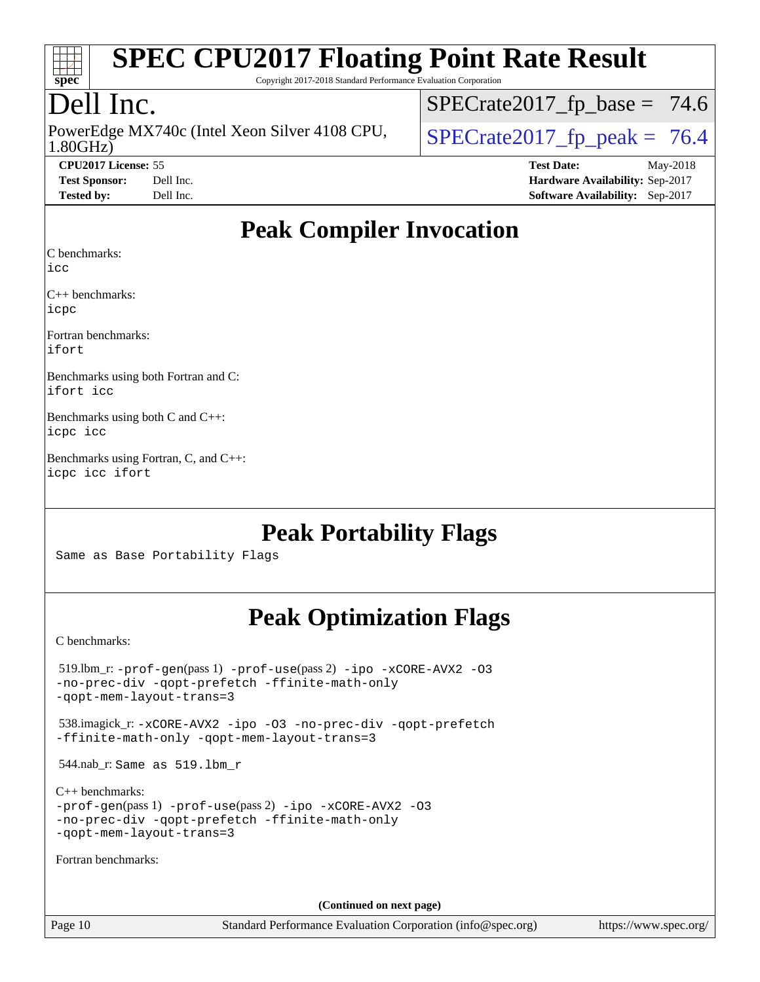

Copyright 2017-2018 Standard Performance Evaluation Corporation

## Dell Inc.

1.80GHz) PowerEdge MX740c (Intel Xeon Silver 4108 CPU,  $\big|$  SPECrate 2017 fp peak = 76.4

 $SPECTate2017_fp\_base = 74.6$ 

**[CPU2017 License:](http://www.spec.org/auto/cpu2017/Docs/result-fields.html#CPU2017License)** 55 **[Test Date:](http://www.spec.org/auto/cpu2017/Docs/result-fields.html#TestDate)** May-2018 **[Test Sponsor:](http://www.spec.org/auto/cpu2017/Docs/result-fields.html#TestSponsor)** Dell Inc. **[Hardware Availability:](http://www.spec.org/auto/cpu2017/Docs/result-fields.html#HardwareAvailability)** Sep-2017 **[Tested by:](http://www.spec.org/auto/cpu2017/Docs/result-fields.html#Testedby)** Dell Inc. **[Software Availability:](http://www.spec.org/auto/cpu2017/Docs/result-fields.html#SoftwareAvailability)** Sep-2017

## **[Peak Compiler Invocation](http://www.spec.org/auto/cpu2017/Docs/result-fields.html#PeakCompilerInvocation)**

[C benchmarks](http://www.spec.org/auto/cpu2017/Docs/result-fields.html#Cbenchmarks):

[icc](http://www.spec.org/cpu2017/results/res2018q3/cpu2017-20180820-08543.flags.html#user_CCpeak_intel_icc_18.0_66fc1ee009f7361af1fbd72ca7dcefbb700085f36577c54f309893dd4ec40d12360134090235512931783d35fd58c0460139e722d5067c5574d8eaf2b3e37e92)

[C++ benchmarks:](http://www.spec.org/auto/cpu2017/Docs/result-fields.html#CXXbenchmarks) [icpc](http://www.spec.org/cpu2017/results/res2018q3/cpu2017-20180820-08543.flags.html#user_CXXpeak_intel_icpc_18.0_c510b6838c7f56d33e37e94d029a35b4a7bccf4766a728ee175e80a419847e808290a9b78be685c44ab727ea267ec2f070ec5dc83b407c0218cded6866a35d07)

[Fortran benchmarks](http://www.spec.org/auto/cpu2017/Docs/result-fields.html#Fortranbenchmarks): [ifort](http://www.spec.org/cpu2017/results/res2018q3/cpu2017-20180820-08543.flags.html#user_FCpeak_intel_ifort_18.0_8111460550e3ca792625aed983ce982f94888b8b503583aa7ba2b8303487b4d8a21a13e7191a45c5fd58ff318f48f9492884d4413fa793fd88dd292cad7027ca)

[Benchmarks using both Fortran and C](http://www.spec.org/auto/cpu2017/Docs/result-fields.html#BenchmarksusingbothFortranandC): [ifort](http://www.spec.org/cpu2017/results/res2018q3/cpu2017-20180820-08543.flags.html#user_CC_FCpeak_intel_ifort_18.0_8111460550e3ca792625aed983ce982f94888b8b503583aa7ba2b8303487b4d8a21a13e7191a45c5fd58ff318f48f9492884d4413fa793fd88dd292cad7027ca) [icc](http://www.spec.org/cpu2017/results/res2018q3/cpu2017-20180820-08543.flags.html#user_CC_FCpeak_intel_icc_18.0_66fc1ee009f7361af1fbd72ca7dcefbb700085f36577c54f309893dd4ec40d12360134090235512931783d35fd58c0460139e722d5067c5574d8eaf2b3e37e92)

[Benchmarks using both C and C++:](http://www.spec.org/auto/cpu2017/Docs/result-fields.html#BenchmarksusingbothCandCXX) [icpc](http://www.spec.org/cpu2017/results/res2018q3/cpu2017-20180820-08543.flags.html#user_CC_CXXpeak_intel_icpc_18.0_c510b6838c7f56d33e37e94d029a35b4a7bccf4766a728ee175e80a419847e808290a9b78be685c44ab727ea267ec2f070ec5dc83b407c0218cded6866a35d07) [icc](http://www.spec.org/cpu2017/results/res2018q3/cpu2017-20180820-08543.flags.html#user_CC_CXXpeak_intel_icc_18.0_66fc1ee009f7361af1fbd72ca7dcefbb700085f36577c54f309893dd4ec40d12360134090235512931783d35fd58c0460139e722d5067c5574d8eaf2b3e37e92)

[Benchmarks using Fortran, C, and C++](http://www.spec.org/auto/cpu2017/Docs/result-fields.html#BenchmarksusingFortranCandCXX): [icpc](http://www.spec.org/cpu2017/results/res2018q3/cpu2017-20180820-08543.flags.html#user_CC_CXX_FCpeak_intel_icpc_18.0_c510b6838c7f56d33e37e94d029a35b4a7bccf4766a728ee175e80a419847e808290a9b78be685c44ab727ea267ec2f070ec5dc83b407c0218cded6866a35d07) [icc](http://www.spec.org/cpu2017/results/res2018q3/cpu2017-20180820-08543.flags.html#user_CC_CXX_FCpeak_intel_icc_18.0_66fc1ee009f7361af1fbd72ca7dcefbb700085f36577c54f309893dd4ec40d12360134090235512931783d35fd58c0460139e722d5067c5574d8eaf2b3e37e92) [ifort](http://www.spec.org/cpu2017/results/res2018q3/cpu2017-20180820-08543.flags.html#user_CC_CXX_FCpeak_intel_ifort_18.0_8111460550e3ca792625aed983ce982f94888b8b503583aa7ba2b8303487b4d8a21a13e7191a45c5fd58ff318f48f9492884d4413fa793fd88dd292cad7027ca)

## **[Peak Portability Flags](http://www.spec.org/auto/cpu2017/Docs/result-fields.html#PeakPortabilityFlags)**

Same as Base Portability Flags

## **[Peak Optimization Flags](http://www.spec.org/auto/cpu2017/Docs/result-fields.html#PeakOptimizationFlags)**

[C benchmarks](http://www.spec.org/auto/cpu2017/Docs/result-fields.html#Cbenchmarks):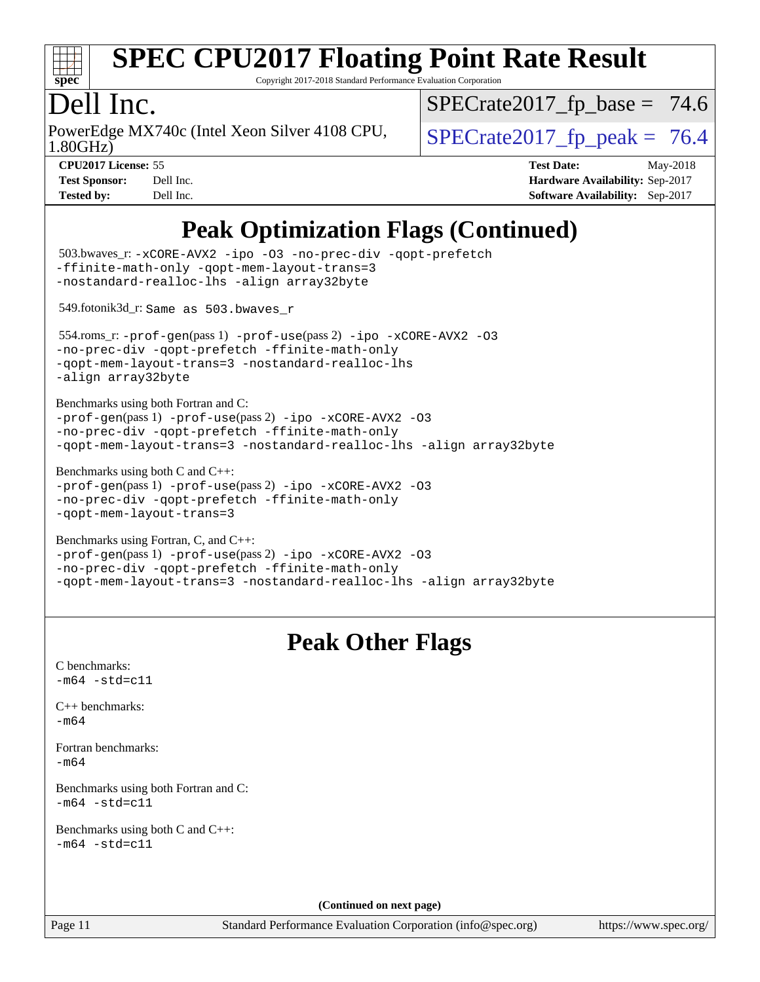

Copyright 2017-2018 Standard Performance Evaluation Corporation

### Dell Inc.

1.80GHz) PowerEdge MX740c (Intel Xeon Silver 4108 CPU,  $\big|$  SPECrate 2017 fp peak = 76.4

 $SPECTate2017_fp\_base = 74.6$ 

**[CPU2017 License:](http://www.spec.org/auto/cpu2017/Docs/result-fields.html#CPU2017License)** 55 **[Test Date:](http://www.spec.org/auto/cpu2017/Docs/result-fields.html#TestDate)** May-2018 **[Test Sponsor:](http://www.spec.org/auto/cpu2017/Docs/result-fields.html#TestSponsor)** Dell Inc. **[Hardware Availability:](http://www.spec.org/auto/cpu2017/Docs/result-fields.html#HardwareAvailability)** Sep-2017 **[Tested by:](http://www.spec.org/auto/cpu2017/Docs/result-fields.html#Testedby)** Dell Inc. **[Software Availability:](http://www.spec.org/auto/cpu2017/Docs/result-fields.html#SoftwareAvailability)** Sep-2017

## **[Peak Optimization Flags \(Continued\)](http://www.spec.org/auto/cpu2017/Docs/result-fields.html#PeakOptimizationFlags)**

```
Page 11 Standard Performance Evaluation Corporation (info@spec.org) https://www.spec.org/
  503.bwaves_r: -xCORE-AVX2 -ipo -O3 -no-prec-div -qopt-prefetch
-ffinite-math-only -qopt-mem-layout-trans=3
-nostandard-realloc-lhs -align array32byte
  549.fotonik3d_r: Same as 503.bwaves_r
  554.roms_r: -prof-gen(pass 1) -prof-use(pass 2) -ipo -xCORE-AVX2 -O3
-no-prec-div -qopt-prefetch -ffinite-math-only
-qopt-mem-layout-trans=3 -nostandard-realloc-lhs
-align array32byte
Benchmarks using both Fortran and C: 
-prof-gen(pass 1) -prof-use(pass 2) -ipo -xCORE-AVX2 -O3
-no-prec-div -qopt-prefetch -ffinite-math-only
-qopt-mem-layout-trans=3 -nostandard-realloc-lhs -align array32byte
Benchmarks using both C and C++: 
-prof-gen(pass 1) -prof-use(pass 2) -ipo -xCORE-AVX2 -O3
-no-prec-div -qopt-prefetch -ffinite-math-only
-qopt-mem-layout-trans=3
Benchmarks using Fortran, C, and C++: 
-prof-gen(pass 1) -prof-use(pass 2) -ipo -xCORE-AVX2 -O3
-no-prec-div -qopt-prefetch -ffinite-math-only
-qopt-mem-layout-trans=3 -nostandard-realloc-lhs -align array32byte
                                   Peak Other Flags
C benchmarks: 
-m64 - std= c11C++ benchmarks: 
-m64Fortran benchmarks: 
-m64
Benchmarks using both Fortran and C: 
-m64 - std= c11Benchmarks using both C and C++: 
-m64 - std= c11(Continued on next page)
```